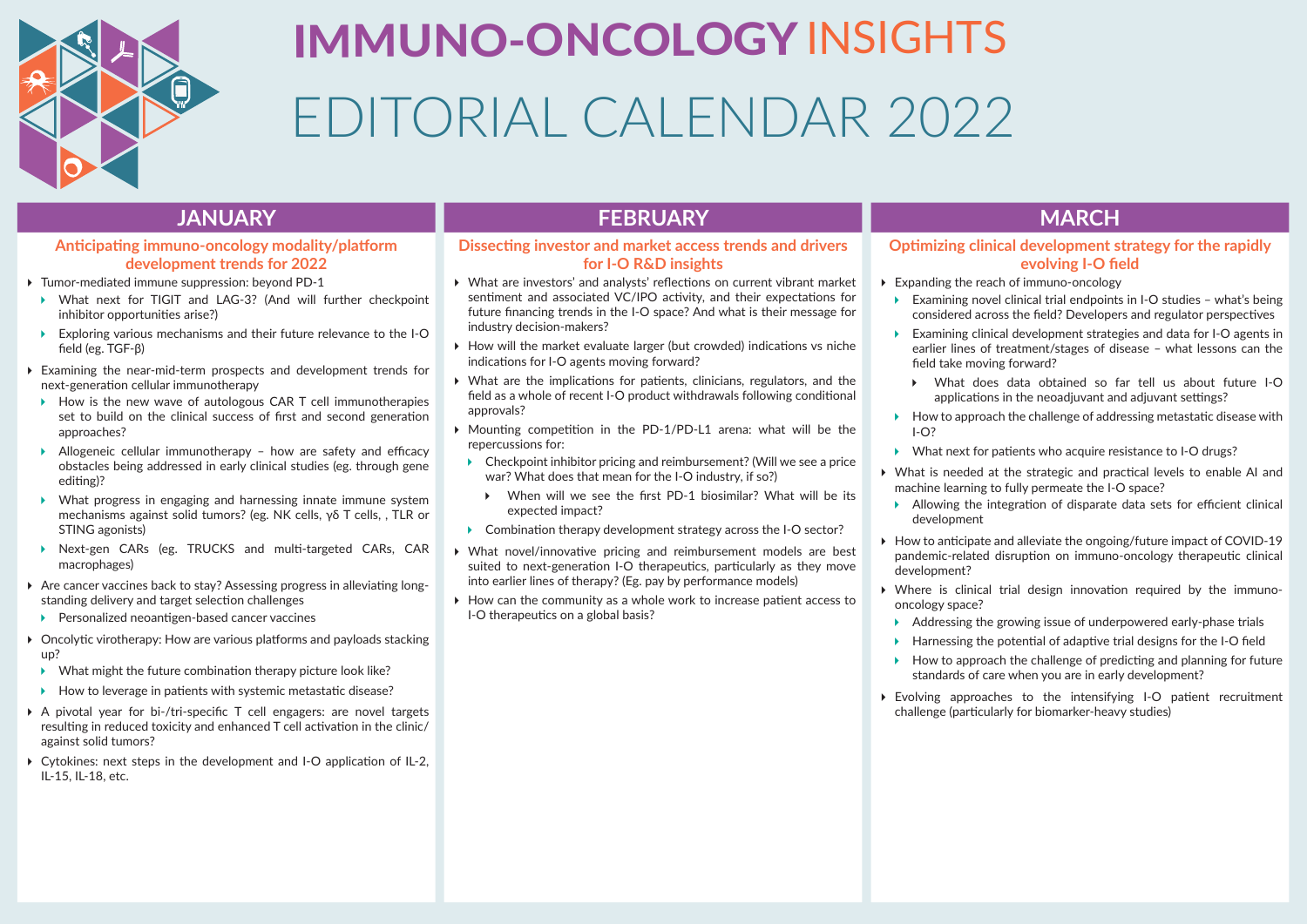

# IMMUNO-ONCOLOGYINSIGHTS EDITORIAL CALENDAR 2022

# **Anticipating immuno-oncology modality/platform development trends for 2022**

- Tumor-mediated immune suppression: beyond PD-1
- ▶ What next for TIGIT and LAG-3? (And will further checkpoint inhibitor opportunities arise?)
- Exploring various mechanisms and their future relevance to the I-O field (eg. TGF-β)
- Examining the near-mid-term prospects and development trends for next-generation cellular immunotherapy
- $\rightarrow$  How is the new wave of autologous CAR T cell immunotherapies set to build on the clinical success of first and second generation approaches?
- Allogeneic cellular immunotherapy how are safety and efficacy obstacles being addressed in early clinical studies (eg. through gene editing)?
- What progress in engaging and harnessing innate immune system mechanisms against solid tumors? (eg. NK cells, γδ T cells, , TLR or STING agonists)
- Next-gen CARs (eg. TRUCKS and multi-targeted CARs, CAR macrophages)
- Are cancer vaccines back to stay? Assessing progress in alleviating longstanding delivery and target selection challenges
- ▶ Personalized neoantigen-based cancer vaccines
- ▶ Oncolytic virotherapy: How are various platforms and payloads stacking up?
- $\triangleright$  What might the future combination therapy picture look like?
- $\blacktriangleright$  How to leverage in patients with systemic metastatic disease?
- A pivotal year for bi-/tri-specific T cell engagers: are novel targets resulting in reduced toxicity and enhanced T cell activation in the clinic/ against solid tumors?
- Cytokines: next steps in the development and I-O application of IL-2, IL-15, IL-18, etc.

# **JANUARY FEBRUARY MARCH**

# **Dissecting investor and market access trends and drivers for I-O R&D insights**

- What are investors' and analysts' reflections on current vibrant market sentiment and associated VC/IPO activity, and their expectations for future financing trends in the I-O space? And what is their message for industry decision-makers?
- $\triangleright$  How will the market evaluate larger (but crowded) indications vs niche indications for I-O agents moving forward?
- What are the implications for patients, clinicians, regulators, and the field as a whole of recent I-O product withdrawals following conditional approvals?
- Mounting competition in the PD-1/PD-L1 arena: what will be the repercussions for:
- ▶ Checkpoint inhibitor pricing and reimbursement? (Will we see a price war? What does that mean for the I-O industry, if so?)
	- When will we see the first PD-1 biosimilar? What will be its expected impact?
- ▶ Combination therapy development strategy across the I-O sector?
- What novel/innovative pricing and reimbursement models are best suited to next-generation I-O therapeutics, particularly as they move into earlier lines of therapy? (Eg. pay by performance models)
- $\triangleright$  How can the community as a whole work to increase patient access to I-O therapeutics on a global basis?

# **Optimizing clinical development strategy for the rapidly evolving I-O field**

- Expanding the reach of immuno-oncology
	- Examining novel clinical trial endpoints in I-O studies what's being considered across the field? Developers and regulator perspectives
	- Examining clinical development strategies and data for I-O agents in earlier lines of treatment/stages of disease – what lessons can the field take moving forward?
		- What does data obtained so far tell us about future I-O applications in the neoadjuvant and adjuvant settings?
	- $\blacktriangleright$  How to approach the challenge of addressing metastatic disease with  $I - O<sup>2</sup>$
	- What next for patients who acquire resistance to I-O drugs?
- What is needed at the strategic and practical levels to enable AI and machine learning to fully permeate the I-O space?
- Allowing the integration of disparate data sets for efficient clinical development
- ▶ How to anticipate and alleviate the ongoing/future impact of COVID-19 pandemic-related disruption on immuno-oncology therapeutic clinical development?
- Where is clinical trial design innovation required by the immunooncology space?
- Addressing the growing issue of underpowered early-phase trials
- $\blacktriangleright$  Harnessing the potential of adaptive trial designs for the I-O field
- $\blacktriangleright$  How to approach the challenge of predicting and planning for future standards of care when you are in early development?
- Evolving approaches to the intensifying I-O patient recruitment challenge (particularly for biomarker-heavy studies)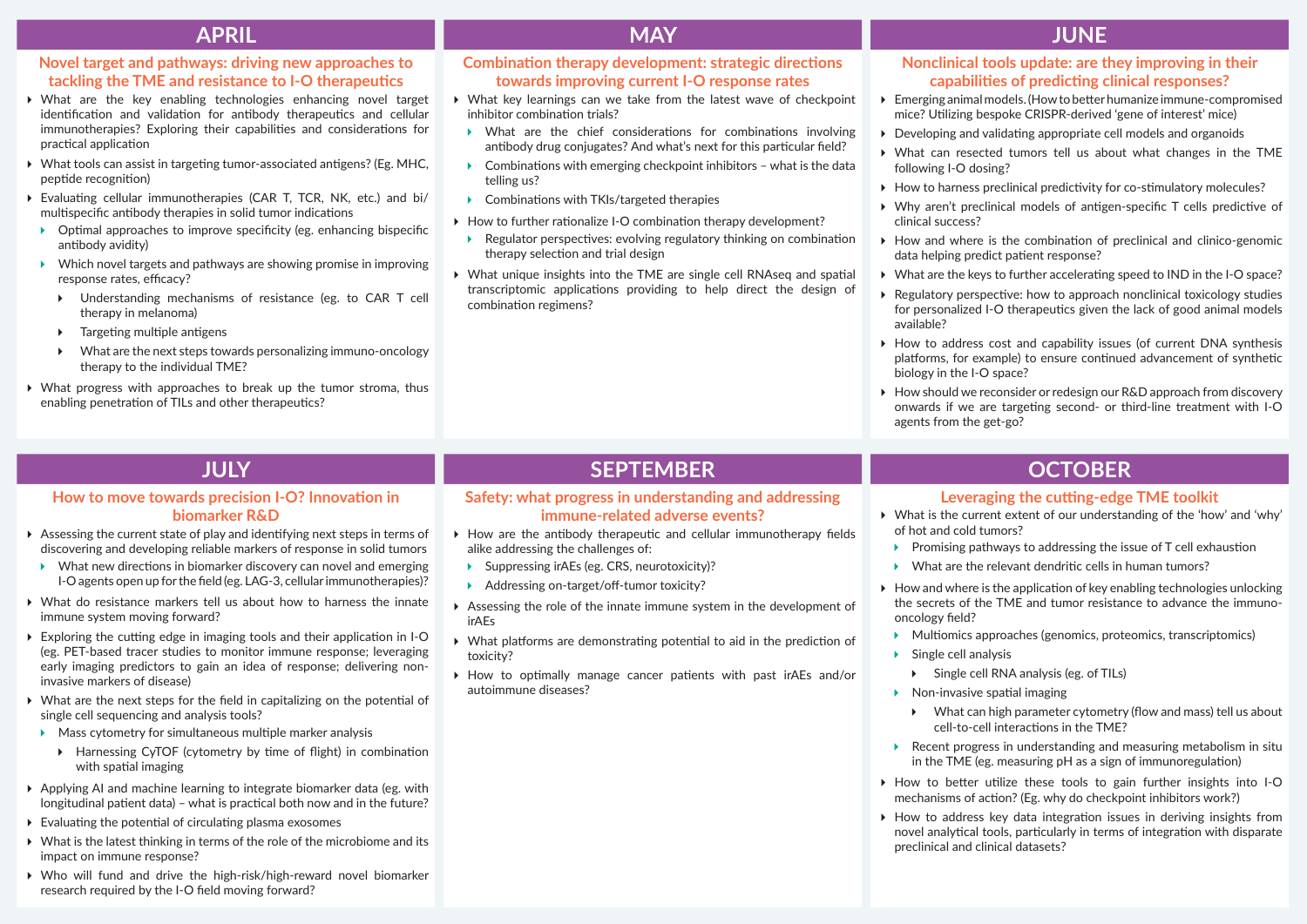# **Novel target and pathways: driving new approaches to tackling the TME and resistance to I-O therapeutics**

- What are the key enabling technologies enhancing novel target identification and validation for antibody therapeutics and cellular immunotherapies? Exploring their capabilities and considerations for practical application
- What tools can assist in targeting tumor-associated antigens? (Eg. MHC, peptide recognition)
- Evaluating cellular immunotherapies (CAR T, TCR, NK, etc.) and bi/ multispecific antibody therapies in solid tumor indications
- $\triangleright$  Optimal approaches to improve specificity (eg. enhancing bispecific antibody avidity)
- $\triangleright$  Which novel targets and pathways are showing promise in improving response rates, efficacy?
	- Understanding mechanisms of resistance (eg. to CAR T cell therapy in melanoma)
	- $\triangleright$  Targeting multiple antigens
	- What are the next steps towards personalizing immuno-oncology therapy to the individual TME?
- What progress with approaches to break up the tumor stroma, thus enabling penetration of TILs and other therapeutics?

# **Combination therapy development: strategic directions towards improving current I-O response rates**

- What key learnings can we take from the latest wave of checkpoint inhibitor combination trials?
- What are the chief considerations for combinations involving antibody drug conjugates? And what's next for this particular field?
- $\triangleright$  Combinations with emerging checkpoint inhibitors what is the data telling us?
- ▶ Combinations with TKIs/targeted therapies
- ▶ How to further rationalize I-O combination therapy development?
- ▶ Regulator perspectives: evolving regulatory thinking on combination therapy selection and trial design
- What unique insights into the TME are single cell RNAseq and spatial transcriptomic applications providing to help direct the design of combination regimens?

# **APRIL MAY JUNE**

### **Nonclinical tools update: are they improving in their capabilities of predicting clinical responses?**

- Emerging animal models. (How to better humanize immune-compromised mice? Utilizing bespoke CRISPR-derived 'gene of interest' mice)
- Developing and validating appropriate cell models and organoids
- What can resected tumors tell us about what changes in the TME following I-O dosing?
- ▶ How to harness preclinical predictivity for co-stimulatory molecules?
- Why aren't preclinical models of antigen-specific T cells predictive of clinical success?
- $\triangleright$  How and where is the combination of preclinical and clinico-genomic data helping predict patient response?
- What are the keys to further accelerating speed to IND in the I-O space?
- ▶ Regulatory perspective: how to approach nonclinical toxicology studies for personalized I-O therapeutics given the lack of good animal models available?
- $\triangleright$  How to address cost and capability issues (of current DNA synthesis platforms, for example) to ensure continued advancement of synthetic biology in the I-O space?
- ▶ How should we reconsider or redesign our R&D approach from discovery onwards if we are targeting second- or third-line treatment with I-O agents from the get-go?

# **How to move towards precision I-O? Innovation in biomarker R&D**

- Assessing the current state of play and identifying next steps in terms of discovering and developing reliable markers of response in solid tumors
- What new directions in biomarker discovery can novel and emerging I-O agents open up for the field (eg. LAG-3, cellular immunotherapies)?
- What do resistance markers tell us about how to harness the innate immune system moving forward?
- $\triangleright$  Exploring the cutting edge in imaging tools and their application in I-O (eg. PET-based tracer studies to monitor immune response; leveraging early imaging predictors to gain an idea of response; delivering noninvasive markers of disease)
- What are the next steps for the field in capitalizing on the potential of single cell sequencing and analysis tools?
- $\blacktriangleright$  Mass cytometry for simultaneous multiple marker analysis
	- Harnessing CyTOF (cytometry by time of flight) in combination with spatial imaging
- Applying AI and machine learning to integrate biomarker data (eg. with longitudinal patient data) – what is practical both now and in the future?
- $\triangleright$  Evaluating the potential of circulating plasma exosomes
- What is the latest thinking in terms of the role of the microbiome and its impact on immune response?
- Who will fund and drive the high-risk/high-reward novel biomarker research required by the I-O field moving forward?

# **JULY SEPTEMBER OCTOBER**

### **Safety: what progress in understanding and addressing immune-related adverse events?**

- $\blacktriangleright$  How are the antibody therapeutic and cellular immunotherapy fields alike addressing the challenges of:
- ▶ Suppressing irAEs (eg. CRS, neurotoxicity)?
- Addressing on-target/off-tumor toxicity?
- Assessing the role of the innate immune system in the development of irAEs
- What platforms are demonstrating potential to aid in the prediction of toxicity?
- How to optimally manage cancer patients with past irAEs and/or autoimmune diseases?

# **Leveraging the cutting-edge TME toolkit**

- What is the current extent of our understanding of the 'how' and 'why' of hot and cold tumors?
	- $\triangleright$  Promising pathways to addressing the issue of T cell exhaustion
	- What are the relevant dendritic cells in human tumors?
- $\blacktriangleright$  How and where is the application of key enabling technologies unlocking the secrets of the TME and tumor resistance to advance the immunooncology field?
	- Multiomics approaches (genomics, proteomics, transcriptomics)
	- $\triangleright$  Single cell analysis
		- Single cell RNA analysis (eg. of TILs)
	- $\triangleright$  Non-invasive spatial imaging
		- What can high parameter cytometry (flow and mass) tell us about cell-to-cell interactions in the TME?
- ▶ Recent progress in understanding and measuring metabolism in situ in the TME (eg. measuring pH as a sign of immunoregulation)
- How to better utilize these tools to gain further insights into I-O mechanisms of action? (Eg. why do checkpoint inhibitors work?)
- $\triangleright$  How to address key data integration issues in deriving insights from novel analytical tools, particularly in terms of integration with disparate preclinical and clinical datasets?